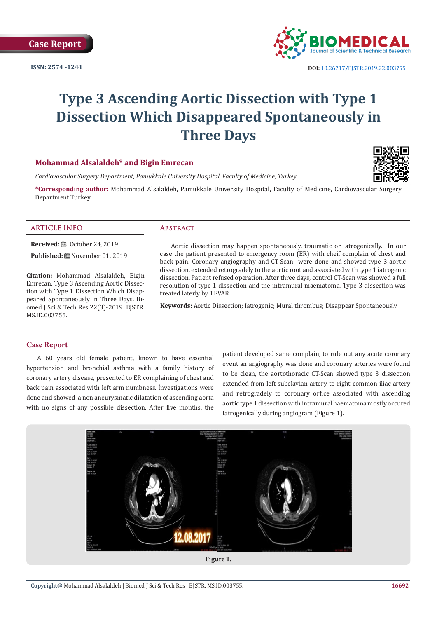**ISSN: 2574 -1241**



# **Type 3 Ascending Aortic Dissection with Type 1 Dissection Which Disappeared Spontaneously in Three Days**

## **Mohammad Alsalaldeh\* and Bigin Emrecan**

*Cardiovascular Surgery Department, Pamukkale University Hospital, Faculty of Medicine, Turkey*



### **ARTICLE INFO Abstract**

**Received: ●** October 24, 2019

**Published:** November 01, 2019

**Citation:** Mohammad Alsalaldeh, Bigin Emrecan. Type 3 Ascending Aortic Dissection with Type 1 Dissection Which Disappeared Spontaneously in Three Days. Biomed J Sci & Tech Res 22(3)-2019. BJSTR. MS.ID.003755.

Aortic dissection may happen spontaneously, traumatic or iatrogenically. In our case the patient presented to emergency room (ER) with cheif complain of chest and back pain. Coronary angiography and CT-Scan were done and showed type 3 aortic dissection, extended retrogradely to the aortic root and associated with type 1 iatrogenic dissection. Patient refused operation. After three days, control CT-Scan was showed a full resolution of type 1 dissection and the intramural maematoma. Type 3 dissection was treated laterly by TEVAR.

**Keywords:** Aortic Dissection; Iatrogenic; Mural thrombus; Disappear Spontaneously

### **Case Report**

A 60 years old female patient, known to have essential hypertension and bronchial asthma with a family history of coronary artery disease, presented to ER complaining of chest and back pain associated with left arm numbness. İnvestigations were done and showed a non aneurysmatic dilatation of ascending aorta with no signs of any possible dissection. After five months, the patient developed same complain, to rule out any acute coronary event an angiography was done and coronary arteries were found to be clean, the aortothoracic CT-Scan showed type 3 dissection extended from left subclavian artery to right common iliac artery and retrogradely to coronary orfice associated with ascending aortic type 1 dissection with intramural haematoma mostly occured iatrogenically during angiogram (Figure 1).



**Figure 1.**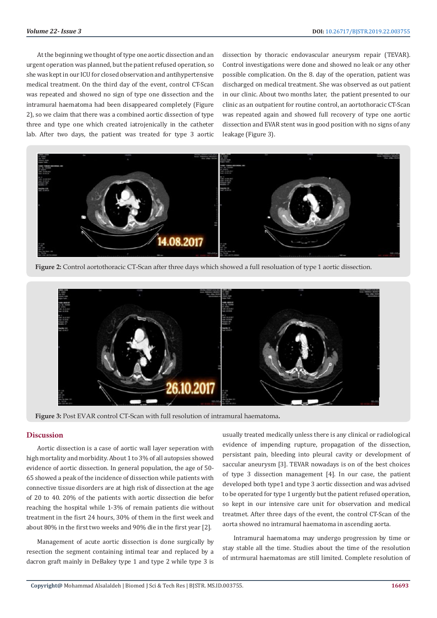At the beginning we thought of type one aortic dissection and an urgent operation was planned, but the patient refused operation, so she was kept in our ICU for closed observation and antihypertensive medical treatment. On the third day of the event, control CT-Scan was repeated and showed no sign of type one dissection and the intramural haematoma had been disappeared completely (Figure 2), so we claim that there was a combined aortic dissection of type three and type one which created iatrojenically in the catheter lab. After two days, the patient was treated for type 3 aortic dissection by thoracic endovascular aneurysm repair (TEVAR). Control investigations were done and showed no leak or any other possible complication. On the 8. day of the operation, patient was discharged on medical treatment. She was observed as out patient in our clinic. About two months later, the patient presented to our clinic as an outpatient for routine control, an aortothoracic CT-Scan was repeated again and showed full recovery of type one aortic dissection and EVAR stent was in good position with no signs of any leakage (Figure 3).



**Figure 2:** Control aortothoracic CT-Scan after three days which showed a full resoluation of type 1 aortic dissection.



**Figure 3:** Post EVAR control CT-Scan with full resolution of intramural haematoma**.**

### **Discussion**

Aortic dissection is a case of aortic wall layer seperation with high mortality and morbidity. About 1 to 3% of all autopsies showed evidence of aortic dissection. In general population, the age of 50- 65 showed a peak of the incidence of dissection while patients with connective tissue disorders are at high risk of dissection at the age of 20 to 40. 20% of the patients with aortic dissection die befor reaching the hospital while 1-3% of remain patients die without treatment in the fisrt 24 hours, 30% of them in the first week and about 80% in the first two weeks and 90% die in the first year [2].

Management of acute aortic dissection is done surgically by resection the segment containing intimal tear and replaced by a dacron graft mainly in DeBakey type 1 and type 2 while type 3 is usually treated medically unless there is any clinical or radiological evidence of impending rupture, propagation of the dissection, persistant pain, bleeding into pleural cavity or development of saccular aneurysm [3]. TEVAR nowadays is on of the best choices of type 3 dissection management [4]. In our case, the patient developed both type1 and type 3 aortic dissection and was advised to be operated for type 1 urgently but the patient refused operation, so kept in our intensive care unit for observation and medical treatmet. After three days of the event, the control CT-Scan of the aorta showed no intramural haematoma in ascending aorta.

Intramural haematoma may undergo progression by time or stay stable all the time. Studies about the time of the resolution of ıntrmural haematomas are still limited. Complete resolution of